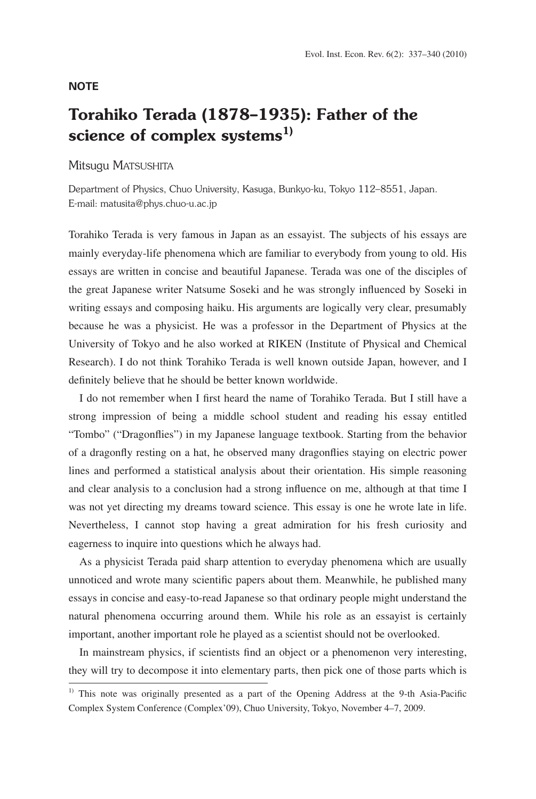## **NOTE**

## **Torahiko Terada (1878–1935): Father of the** science of complex systems<sup>1)</sup>

## Mitsugu MATSUSHITA

Department of Physics, Chuo University, Kasuga, Bunkyo-ku, Tokyo 112–8551, Japan. E-mail: matusita@phys.chuo-u.ac.jp

Torahiko Terada is very famous in Japan as an essayist. The subjects of his essays are mainly everyday-life phenomena which are familiar to everybody from young to old. His essays are written in concise and beautiful Japanese. Terada was one of the disciples of the great Japanese writer Natsume Soseki and he was strongly influenced by Soseki in writing essays and composing haiku. His arguments are logically very clear, presumably because he was a physicist. He was a professor in the Department of Physics at the University of Tokyo and he also worked at RIKEN (Institute of Physical and Chemical Research). I do not think Torahiko Terada is well known outside Japan, however, and I definitely believe that he should be better known worldwide.

I do not remember when I first heard the name of Torahiko Terada. But I still have a strong impression of being a middle school student and reading his essay entitled "Tombo" ("Dragonflies") in my Japanese language textbook. Starting from the behavior of a dragonfly resting on a hat, he observed many dragonflies staying on electric power lines and performed a statistical analysis about their orientation. His simple reasoning and clear analysis to a conclusion had a strong influence on me, although at that time I was not yet directing my dreams toward science. This essay is one he wrote late in life. Nevertheless, I cannot stop having a great admiration for his fresh curiosity and eagerness to inquire into questions which he always had.

As a physicist Terada paid sharp attention to everyday phenomena which are usually unnoticed and wrote many scientific papers about them. Meanwhile, he published many essays in concise and easy-to-read Japanese so that ordinary people might understand the natural phenomena occurring around them. While his role as an essayist is certainly important, another important role he played as a scientist should not be overlooked.

In mainstream physics, if scientists find an object or a phenomenon very interesting, they will try to decompose it into elementary parts, then pick one of those parts which is

<sup>&</sup>lt;sup>1)</sup> This note was originally presented as a part of the Opening Address at the 9-th Asia-Pacific Complex System Conference (Complex'09), Chuo University, Tokyo, November 4–7, 2009.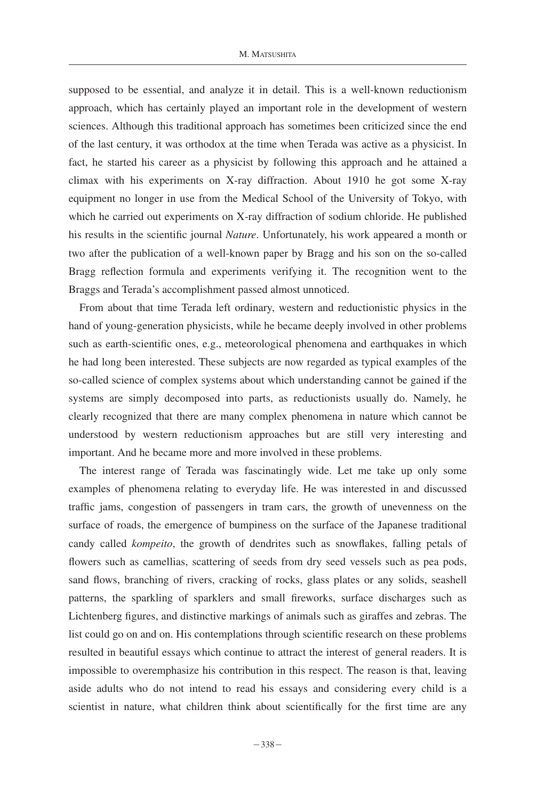supposed to be essential, and analyze it in detail. This is a well-known reductionism approach, which has certainly played an important role in the development of western sciences. Although this traditional approach has sometimes been criticized since the end of the last century, it was orthodox at the time when Terada was active as a physicist. In fact, he started his career as a physicist by following this approach and he attained a climax with his experiments on X-ray diffraction. About 1910 he got some X-ray equipment no longer in use from the Medical School of the University of Tokyo, with which he carried out experiments on X-ray diffraction of sodium chloride. He published his results in the scientific journal *Nature*. Unfortunately, his work appeared a month or two after the publication of a well-known paper by Bragg and his son on the so-called Bragg reflection formula and experiments verifying it. The recognition went to the Braggs and Terada's accomplishment passed almost unnoticed.

From about that time Terada left ordinary, western and reductionistic physics in the hand of young-generation physicists, while he became deeply involved in other problems such as earth-scientific ones, e.g., meteorological phenomena and earthquakes in which he had long been interested. These subjects are now regarded as typical examples of the so-called science of complex systems about which understanding cannot be gained if the systems are simply decomposed into parts, as reductionists usually do. Namely, he clearly recognized that there are many complex phenomena in nature which cannot be understood by western reductionism approaches but are still very interesting and important. And he became more and more involved in these problems.

The interest range of Terada was fascinatingly wide. Let me take up only some examples of phenomena relating to everyday life. He was interested in and discussed traffic jams, congestion of passengers in tram cars, the growth of unevenness on the surface of roads, the emergence of bumpiness on the surface of the Japanese traditional candy called *kompeito*, the growth of dendrites such as snowflakes, falling petals of flowers such as camellias, scattering of seeds from dry seed vessels such as pea pods, sand flows, branching of rivers, cracking of rocks, glass plates or any solids, seashell patterns, the sparkling of sparklers and small fireworks, surface discharges such as Lichtenberg figures, and distinctive markings of animals such as giraffes and zebras. The list could go on and on. His contemplations through scientific research on these problems resulted in beautiful essays which continue to attract the interest of general readers. It is impossible to overemphasize his contribution in this respect. The reason is that, leaving aside adults who do not intend to read his essays and considering every child is a scientist in nature, what children think about scientifically for the first time are any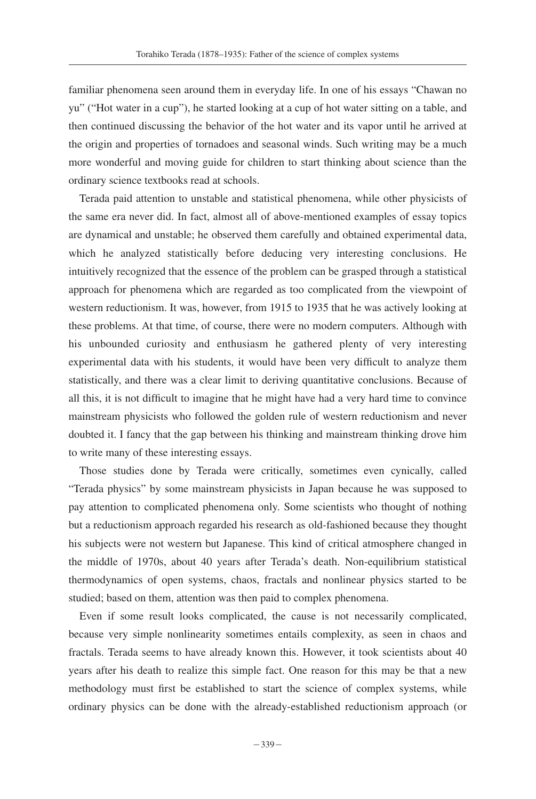familiar phenomena seen around them in everyday life. In one of his essays "Chawan no yu" ("Hot water in a cup"), he started looking at a cup of hot water sitting on a table, and then continued discussing the behavior of the hot water and its vapor until he arrived at the origin and properties of tornadoes and seasonal winds. Such writing may be a much more wonderful and moving guide for children to start thinking about science than the ordinary science textbooks read at schools.

Terada paid attention to unstable and statistical phenomena, while other physicists of the same era never did. In fact, almost all of above-mentioned examples of essay topics are dynamical and unstable; he observed them carefully and obtained experimental data, which he analyzed statistically before deducing very interesting conclusions. He intuitively recognized that the essence of the problem can be grasped through a statistical approach for phenomena which are regarded as too complicated from the viewpoint of western reductionism. It was, however, from 1915 to 1935 that he was actively looking at these problems. At that time, of course, there were no modern computers. Although with his unbounded curiosity and enthusiasm he gathered plenty of very interesting experimental data with his students, it would have been very difficult to analyze them statistically, and there was a clear limit to deriving quantitative conclusions. Because of all this, it is not difficult to imagine that he might have had a very hard time to convince mainstream physicists who followed the golden rule of western reductionism and never doubted it. I fancy that the gap between his thinking and mainstream thinking drove him to write many of these interesting essays.

Those studies done by Terada were critically, sometimes even cynically, called "Terada physics" by some mainstream physicists in Japan because he was supposed to pay attention to complicated phenomena only. Some scientists who thought of nothing but a reductionism approach regarded his research as old-fashioned because they thought his subjects were not western but Japanese. This kind of critical atmosphere changed in the middle of 1970s, about 40 years after Terada's death. Non-equilibrium statistical thermodynamics of open systems, chaos, fractals and nonlinear physics started to be studied; based on them, attention was then paid to complex phenomena.

Even if some result looks complicated, the cause is not necessarily complicated, because very simple nonlinearity sometimes entails complexity, as seen in chaos and fractals. Terada seems to have already known this. However, it took scientists about 40 years after his death to realize this simple fact. One reason for this may be that a new methodology must first be established to start the science of complex systems, while ordinary physics can be done with the already-established reductionism approach (or